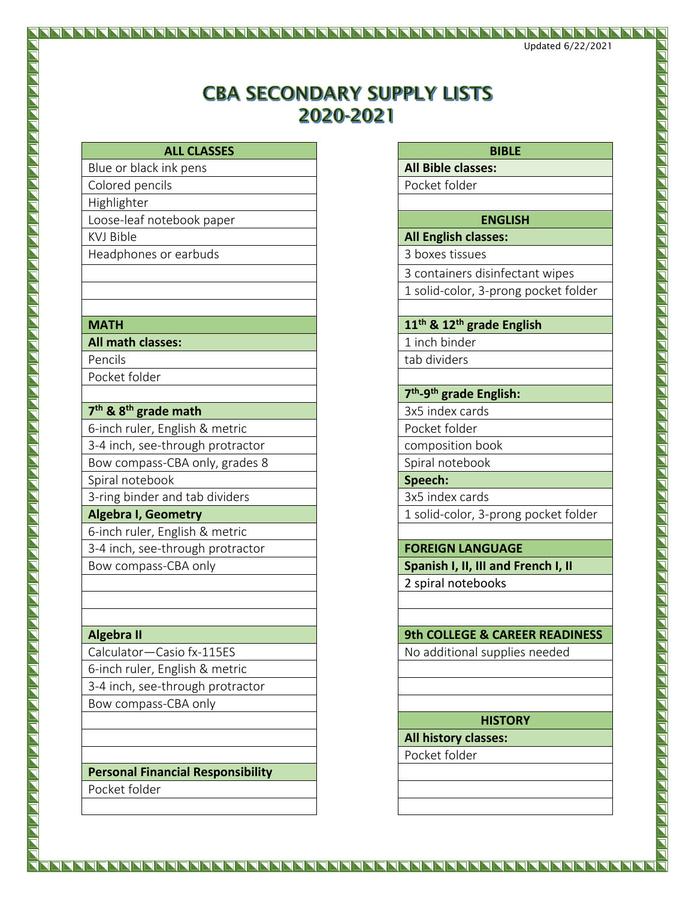# **CBA SECONDARY SUPPLY LISTS** 2020-2021

| <b>ALL CLASSES</b> | <b>BIBLE</b> |
|--------------------|--------------|
|--------------------|--------------|

- Blue or black ink pens **All Bible classes:**
- Colored pencils **Pocket folder**
- Highlighter
- Loose-leaf notebook paper **ENGLISH**
- 
- 
- **All math classes:** 1 inch binder
- Pencils and tab dividers and tab dividers Pocket folder

- **7 th & 8th grade math** 3x5 index cards
- 6-inch ruler, English & metric Pocket folder
- 3-4 inch, see-through protractor and composition book
- Bow compass-CBA only, grades 8 Spiral notebook
- Spiral notebook **Spiral notebook Speech: Speech: Speech: Speech: Speech: Speech: Speech: Speech: Speech: Speech: Speech: Speech: Speech: Speech: Speech: Speech: Speech: Speech: Speech:**
- 3-ring binder and tab dividers **3x5** index cards
- 
- 6-inch ruler, English & metric 3-4 inch, see-through protractor **FOREIGN LANGUAGE**
- 

- Calculator—Casio fx-115ES No additional supplies needed 6-inch ruler, English & metric
- 3-4 inch, see-through protractor
- Bow compass-CBA only

# **Personal Financial Responsibility**

Pocket folder

# KVJ Bible **All English classes:**

Headphones or earbuds 3 boxes tissues

- 3 containers disinfectant wipes
- 1 solid-color, 3-prong pocket folder

## **MATH 11th & 12th grade English**

# **7 th -9 th grade English:**

- 
- 
- 

**Algebra I, Geometry** 1 **Algebra I, Geometry** 1 solid-color, 3-prong pocket folder

Bow compass-CBA only **Spanish I, II, III and French I, II** 2 spiral notebooks

# **Algebra II 9th COLLEGE & CAREER READINESS**

# **HISTORY**

**All history classes:**

Pocket folder